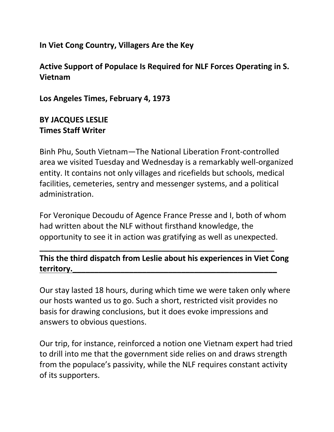**In Viet Cong Country, Villagers Are the Key**

**Active Support of Populace Is Required for NLF Forces Operating in S. Vietnam**

**Los Angeles Times, February 4, 1973**

## **BY JACQUES LESLIE Times Staff Writer**

Binh Phu, South Vietnam—The National Liberation Front-controlled area we visited Tuesday and Wednesday is a remarkably well-organized entity. It contains not only villages and ricefields but schools, medical facilities, cemeteries, sentry and messenger systems, and a political administration.

For Veronique Decoudu of Agence France Presse and I, both of whom had written about the NLF without firsthand knowledge, the opportunity to see it in action was gratifying as well as unexpected.

**This the third dispatch from Leslie about his experiences in Viet Cong territory.\_\_\_\_\_\_\_\_\_\_\_\_\_\_\_\_\_\_\_\_\_\_\_\_\_\_\_\_\_\_\_\_\_\_\_\_\_\_\_\_\_\_\_\_\_\_\_**

**\_\_\_\_\_\_\_\_\_\_\_\_\_\_\_\_\_\_\_\_\_\_\_\_\_\_\_\_\_\_\_\_\_\_\_\_\_\_\_\_\_\_\_\_\_\_\_\_\_\_\_\_\_\_**

Our stay lasted 18 hours, during which time we were taken only where our hosts wanted us to go. Such a short, restricted visit provides no basis for drawing conclusions, but it does evoke impressions and answers to obvious questions.

Our trip, for instance, reinforced a notion one Vietnam expert had tried to drill into me that the government side relies on and draws strength from the populace's passivity, while the NLF requires constant activity of its supporters.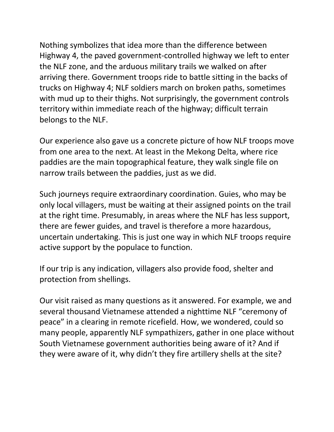Nothing symbolizes that idea more than the difference between Highway 4, the paved government-controlled highway we left to enter the NLF zone, and the arduous military trails we walked on after arriving there. Government troops ride to battle sitting in the backs of trucks on Highway 4; NLF soldiers march on broken paths, sometimes with mud up to their thighs. Not surprisingly, the government controls territory within immediate reach of the highway; difficult terrain belongs to the NLF.

Our experience also gave us a concrete picture of how NLF troops move from one area to the next. At least in the Mekong Delta, where rice paddies are the main topographical feature, they walk single file on narrow trails between the paddies, just as we did.

Such journeys require extraordinary coordination. Guies, who may be only local villagers, must be waiting at their assigned points on the trail at the right time. Presumably, in areas where the NLF has less support, there are fewer guides, and travel is therefore a more hazardous, uncertain undertaking. This is just one way in which NLF troops require active support by the populace to function.

If our trip is any indication, villagers also provide food, shelter and protection from shellings.

Our visit raised as many questions as it answered. For example, we and several thousand Vietnamese attended a nighttime NLF "ceremony of peace" in a clearing in remote ricefield. How, we wondered, could so many people, apparently NLF sympathizers, gather in one place without South Vietnamese government authorities being aware of it? And if they were aware of it, why didn't they fire artillery shells at the site?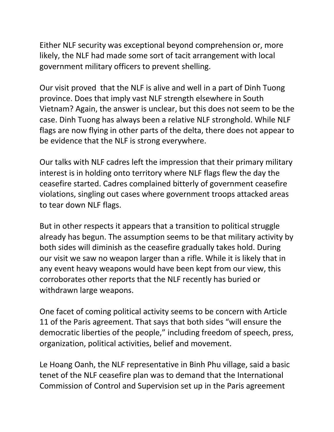Either NLF security was exceptional beyond comprehension or, more likely, the NLF had made some sort of tacit arrangement with local government military officers to prevent shelling.

Our visit proved that the NLF is alive and well in a part of Dinh Tuong province. Does that imply vast NLF strength elsewhere in South Vietnam? Again, the answer is unclear, but this does not seem to be the case. Dinh Tuong has always been a relative NLF stronghold. While NLF flags are now flying in other parts of the delta, there does not appear to be evidence that the NLF is strong everywhere.

Our talks with NLF cadres left the impression that their primary military interest is in holding onto territory where NLF flags flew the day the ceasefire started. Cadres complained bitterly of government ceasefire violations, singling out cases where government troops attacked areas to tear down NLF flags.

But in other respects it appears that a transition to political struggle already has begun. The assumption seems to be that military activity by both sides will diminish as the ceasefire gradually takes hold. During our visit we saw no weapon larger than a rifle. While it is likely that in any event heavy weapons would have been kept from our view, this corroborates other reports that the NLF recently has buried or withdrawn large weapons.

One facet of coming political activity seems to be concern with Article 11 of the Paris agreement. That says that both sides "will ensure the democratic liberties of the people," including freedom of speech, press, organization, political activities, belief and movement.

Le Hoang Oanh, the NLF representative in Binh Phu village, said a basic tenet of the NLF ceasefire plan was to demand that the International Commission of Control and Supervision set up in the Paris agreement